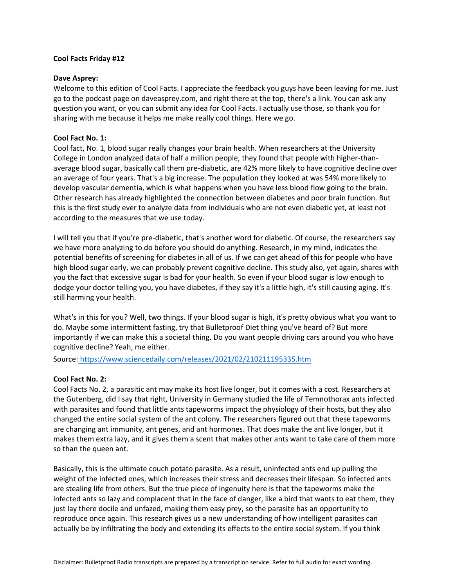### **Cool Facts Friday #12**

#### **Dave Asprey:**

Welcome to this edition of Cool Facts. I appreciate the feedback you guys have been leaving for me. Just go to the podcast page on daveasprey.com, and right there at the top, there's a link. You can ask any question you want, or you can submit any idea for Cool Facts. I actually use those, so thank you for sharing with me because it helps me make really cool things. Here we go.

## **Cool Fact No. 1:**

Cool fact, No. 1, blood sugar really changes your brain health. When researchers at the University College in London analyzed data of half a million people, they found that people with higher-thanaverage blood sugar, basically call them pre-diabetic, are 42% more likely to have cognitive decline over an average of four years. That's a big increase. The population they looked at was 54% more likely to develop vascular dementia, which is what happens when you have less blood flow going to the brain. Other research has already highlighted the connection between diabetes and poor brain function. But this is the first study ever to analyze data from individuals who are not even diabetic yet, at least not according to the measures that we use today.

I will tell you that if you're pre-diabetic, that's another word for diabetic. Of course, the researchers say we have more analyzing to do before you should do anything. Research, in my mind, indicates the potential benefits of screening for diabetes in all of us. If we can get ahead of this for people who have high blood sugar early, we can probably prevent cognitive decline. This study also, yet again, shares with you the fact that excessive sugar is bad for your health. So even if your blood sugar is low enough to dodge your doctor telling you, you have diabetes, if they say it's a little high, it's still causing aging. It's still harming your health.

What's in this for you? Well, two things. If your blood sugar is high, it's pretty obvious what you want to do. Maybe some intermittent fasting, try that Bulletproof Diet thing you've heard of? But more importantly if we can make this a societal thing. Do you want people driving cars around you who have cognitive decline? Yeah, me either.

Source: <https://www.sciencedaily.com/releases/2021/02/210211195335.htm>

# **Cool Fact No. 2:**

Cool Facts No. 2, a parasitic ant may make its host live longer, but it comes with a cost. Researchers at the Gutenberg, did I say that right, University in Germany studied the life of Temnothorax ants infected with parasites and found that little ants tapeworms impact the physiology of their hosts, but they also changed the entire social system of the ant colony. The researchers figured out that these tapeworms are changing ant immunity, ant genes, and ant hormones. That does make the ant live longer, but it makes them extra lazy, and it gives them a scent that makes other ants want to take care of them more so than the queen ant.

Basically, this is the ultimate couch potato parasite. As a result, uninfected ants end up pulling the weight of the infected ones, which increases their stress and decreases their lifespan. So infected ants are stealing life from others. But the true piece of ingenuity here is that the tapeworms make the infected ants so lazy and complacent that in the face of danger, like a bird that wants to eat them, they just lay there docile and unfazed, making them easy prey, so the parasite has an opportunity to reproduce once again. This research gives us a new understanding of how intelligent parasites can actually be by infiltrating the body and extending its effects to the entire social system. If you think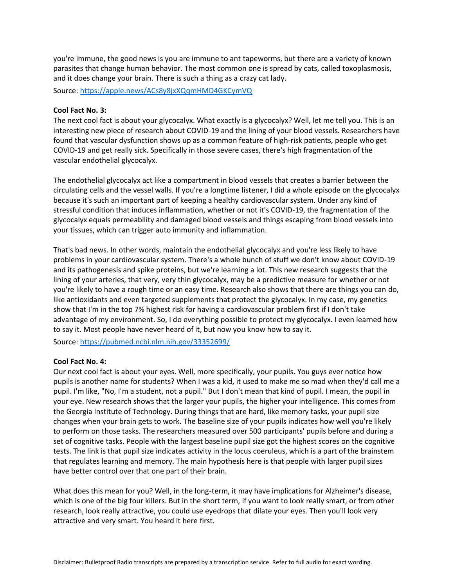you're immune, the good news is you are immune to ant tapeworms, but there are a variety of known parasites that change human behavior. The most common one is spread by cats, called toxoplasmosis, and it does change your brain. There is such a thing as a crazy cat lady.

Source:<https://apple.news/ACs8y8jxXQqmHMD4GKCymVQ>

#### **Cool Fact No. 3:**

The next cool fact is about your glycocalyx. What exactly is a glycocalyx? Well, let me tell you. This is an interesting new piece of research about COVID-19 and the lining of your blood vessels. Researchers have found that vascular dysfunction shows up as a common feature of high-risk patients, people who get COVID-19 and get really sick. Specifically in those severe cases, there's high fragmentation of the vascular endothelial glycocalyx.

The endothelial glycocalyx act like a compartment in blood vessels that creates a barrier between the circulating cells and the vessel walls. If you're a longtime listener, I did a whole episode on the glycocalyx because it's such an important part of keeping a healthy cardiovascular system. Under any kind of stressful condition that induces inflammation, whether or not it's COVID-19, the fragmentation of the glycocalyx equals permeability and damaged blood vessels and things escaping from blood vessels into your tissues, which can trigger auto immunity and inflammation.

That's bad news. In other words, maintain the endothelial glycocalyx and you're less likely to have problems in your cardiovascular system. There's a whole bunch of stuff we don't know about COVID-19 and its pathogenesis and spike proteins, but we're learning a lot. This new research suggests that the lining of your arteries, that very, very thin glycocalyx, may be a predictive measure for whether or not you're likely to have a rough time or an easy time. Research also shows that there are things you can do, like antioxidants and even targeted supplements that protect the glycocalyx. In my case, my genetics show that I'm in the top 7% highest risk for having a cardiovascular problem first if I don't take advantage of my environment. So, I do everything possible to protect my glycocalyx. I even learned how to say it. Most people have never heard of it, but now you know how to say it.

Source:<https://pubmed.ncbi.nlm.nih.gov/33352699/>

#### **Cool Fact No. 4:**

Our next cool fact is about your eyes. Well, more specifically, your pupils. You guys ever notice how pupils is another name for students? When I was a kid, it used to make me so mad when they'd call me a pupil. I'm like, "No, I'm a student, not a pupil." But I don't mean that kind of pupil. I mean, the pupil in your eye. New research shows that the larger your pupils, the higher your intelligence. This comes from the Georgia Institute of Technology. During things that are hard, like memory tasks, your pupil size changes when your brain gets to work. The baseline size of your pupils indicates how well you're likely to perform on those tasks. The researchers measured over 500 participants' pupils before and during a set of cognitive tasks. People with the largest baseline pupil size got the highest scores on the cognitive tests. The link is that pupil size indicates activity in the locus coeruleus, which is a part of the brainstem that regulates learning and memory. The main hypothesis here is that people with larger pupil sizes have better control over that one part of their brain.

What does this mean for you? Well, in the long-term, it may have implications for Alzheimer's disease, which is one of the big four killers. But in the short term, if you want to look really smart, or from other research, look really attractive, you could use eyedrops that dilate your eyes. Then you'll look very attractive and very smart. You heard it here first.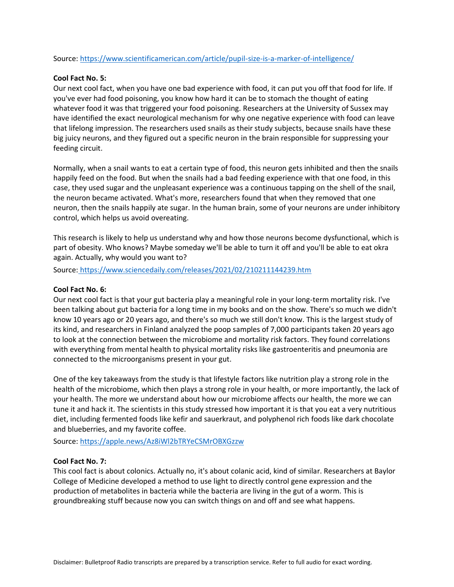Source:<https://www.scientificamerican.com/article/pupil-size-is-a-marker-of-intelligence/>

## **Cool Fact No. 5:**

Our next cool fact, when you have one bad experience with food, it can put you off that food for life. If you've ever had food poisoning, you know how hard it can be to stomach the thought of eating whatever food it was that triggered your food poisoning. Researchers at the University of Sussex may have identified the exact neurological mechanism for why one negative experience with food can leave that lifelong impression. The researchers used snails as their study subjects, because snails have these big juicy neurons, and they figured out a specific neuron in the brain responsible for suppressing your feeding circuit.

Normally, when a snail wants to eat a certain type of food, this neuron gets inhibited and then the snails happily feed on the food. But when the snails had a bad feeding experience with that one food, in this case, they used sugar and the unpleasant experience was a continuous tapping on the shell of the snail, the neuron became activated. What's more, researchers found that when they removed that one neuron, then the snails happily ate sugar. In the human brain, some of your neurons are under inhibitory control, which helps us avoid overeating.

This research is likely to help us understand why and how those neurons become dysfunctional, which is part of obesity. Who knows? Maybe someday we'll be able to turn it off and you'll be able to eat okra again. Actually, why would you want to?

Source: <https://www.sciencedaily.com/releases/2021/02/210211144239.htm>

# **Cool Fact No. 6:**

Our next cool fact is that your gut bacteria play a meaningful role in your long-term mortality risk. I've been talking about gut bacteria for a long time in my books and on the show. There's so much we didn't know 10 years ago or 20 years ago, and there's so much we still don't know. This is the largest study of its kind, and researchers in Finland analyzed the poop samples of 7,000 participants taken 20 years ago to look at the connection between the microbiome and mortality risk factors. They found correlations with everything from mental health to physical mortality risks like gastroenteritis and pneumonia are connected to the microorganisms present in your gut.

One of the key takeaways from the study is that lifestyle factors like nutrition play a strong role in the health of the microbiome, which then plays a strong role in your health, or more importantly, the lack of your health. The more we understand about how our microbiome affects our health, the more we can tune it and hack it. The scientists in this study stressed how important it is that you eat a very nutritious diet, including fermented foods like kefir and sauerkraut, and polyphenol rich foods like dark chocolate and blueberries, and my favorite coffee.

Source:<https://apple.news/Az8iWl2bTRYeCSMrOBXGzzw>

#### **Cool Fact No. 7:**

This cool fact is about colonics. Actually no, it's about colanic acid, kind of similar. Researchers at Baylor College of Medicine developed a method to use light to directly control gene expression and the production of metabolites in bacteria while the bacteria are living in the gut of a worm. This is groundbreaking stuff because now you can switch things on and off and see what happens.